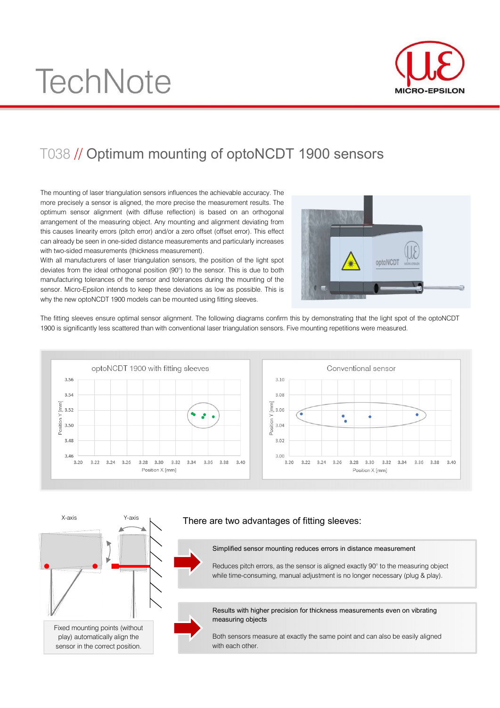# **TechNote**



# T038 // Optimum mounting of optoNCDT 1900 sensors

The mounting of laser triangulation sensors influences the achievable accuracy. The more precisely a sensor is aligned, the more precise the measurement results. The optimum sensor alignment (with diffuse reflection) is based on an orthogonal arrangement of the measuring object. Any mounting and alignment deviating from this causes linearity errors (pitch error) and/or a zero offset (offset error). This effect can already be seen in one-sided distance measurements and particularly increases with two-sided measurements (thickness measurement).

With all manufacturers of laser triangulation sensors, the position of the light spot deviates from the ideal orthogonal position (90°) to the sensor. This is due to both manufacturing tolerances of the sensor and tolerances during the mounting of the sensor. Micro-Epsilon intends to keep these deviations as low as possible. This is why the new optoNCDT 1900 models can be mounted using fitting sleeves.



The fitting sleeves ensure optimal sensor alignment. The following diagrams confirm this by demonstrating that the light spot of the optoNCDT 1900 is significantly less scattered than with conventional laser triangulation sensors. Five mounting repetitions were measured.





## There are two advantages of fitting sleeves:

Simplified sensor mounting reduces errors in distance measurement

Reduces pitch errors, as the sensor is aligned exactly 90° to the measuring object while time-consuming, manual adjustment is no longer necessary (plug & play).

Results with higher precision for thickness measurements even on vibrating measuring objects

Both sensors measure at exactly the same point and can also be easily aligned with each other.